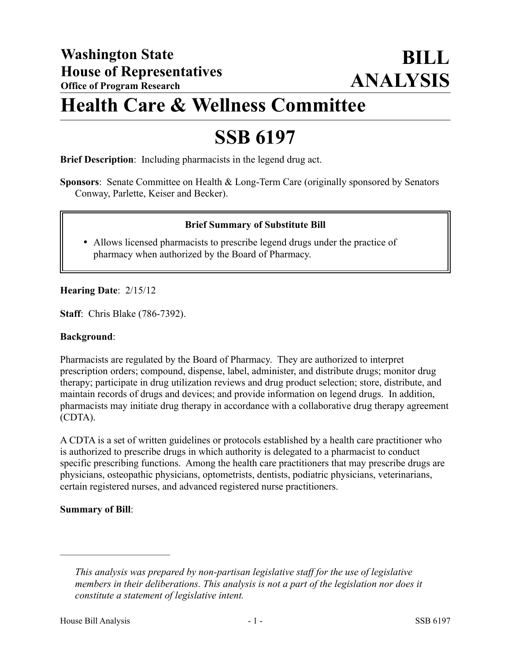## **Health Care & Wellness Committee**

# **SSB 6197**

**Brief Description**: Including pharmacists in the legend drug act.

**Sponsors**: Senate Committee on Health & Long-Term Care (originally sponsored by Senators Conway, Parlette, Keiser and Becker).

### **Brief Summary of Substitute Bill**

 Allows licensed pharmacists to prescribe legend drugs under the practice of pharmacy when authorized by the Board of Pharmacy.

### **Hearing Date**: 2/15/12

**Staff**: Chris Blake (786-7392).

#### **Background**:

Pharmacists are regulated by the Board of Pharmacy. They are authorized to interpret prescription orders; compound, dispense, label, administer, and distribute drugs; monitor drug therapy; participate in drug utilization reviews and drug product selection; store, distribute, and maintain records of drugs and devices; and provide information on legend drugs. In addition, pharmacists may initiate drug therapy in accordance with a collaborative drug therapy agreement (CDTA).

A CDTA is a set of written guidelines or protocols established by a health care practitioner who is authorized to prescribe drugs in which authority is delegated to a pharmacist to conduct specific prescribing functions. Among the health care practitioners that may prescribe drugs are physicians, osteopathic physicians, optometrists, dentists, podiatric physicians, veterinarians, certain registered nurses, and advanced registered nurse practitioners.

### **Summary of Bill**:

––––––––––––––––––––––

*This analysis was prepared by non-partisan legislative staff for the use of legislative members in their deliberations. This analysis is not a part of the legislation nor does it constitute a statement of legislative intent.*